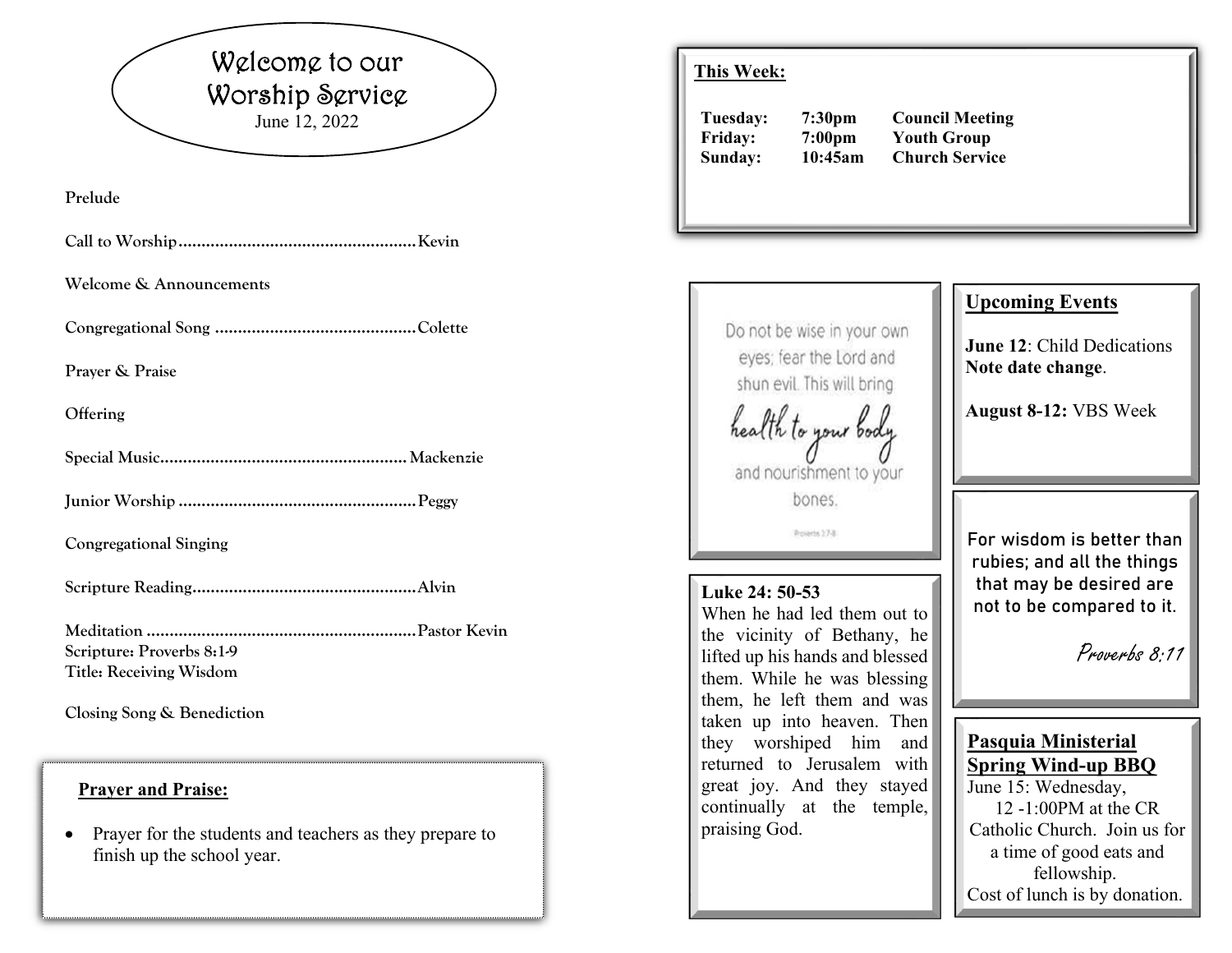# Welcome to our Worship Service June 12, 2022

**Prelude** 

|--|--|--|--|

**Welcome & Announcements** 

**Congregational Song ............................................ Colette** 

**Prayer & Praise** 

**Offering** 

**Special Music ...................................................... Mackenzie** 

**Junior Worship .................................................... Peggy** 

**Congregational Singing** 

**Scripture Reading ................................................. Alvin** 

**Meditation ........................................................... Pastor Kevin Scripture: Proverbs 8:1-9 Title: Receiving Wisdom** 

**Closing Song & Benediction** 

### **Prayer and Praise:**

0 Prayer for the students and teachers as they prepare to finish up the school year.

# **This Week:**

**Tuesday: 7:30pm Council Meeting Friday: 7:00pm Youth Group Sunday: 10:45am Church Service**